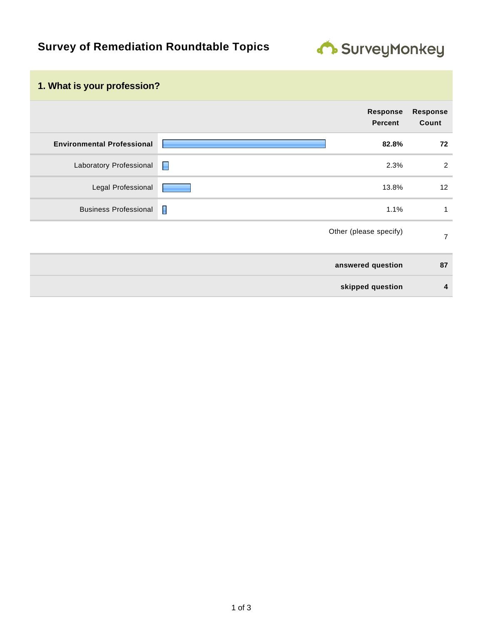## **Survey of Remediation Roundtable Topics**



## **1. What is your profession?**

|                                   |                | Response<br><b>Percent</b> | <b>Response</b><br>Count |
|-----------------------------------|----------------|----------------------------|--------------------------|
| <b>Environmental Professional</b> |                | 82.8%                      | 72                       |
| Laboratory Professional           | $\blacksquare$ | 2.3%                       | 2                        |
| Legal Professional                |                | 13.8%                      | 12                       |
| <b>Business Professional</b>      | I              | 1.1%                       | 1                        |
|                                   |                | Other (please specify)     | $\overline{7}$           |
|                                   |                | answered question          | 87                       |
|                                   |                | skipped question           | $\overline{4}$           |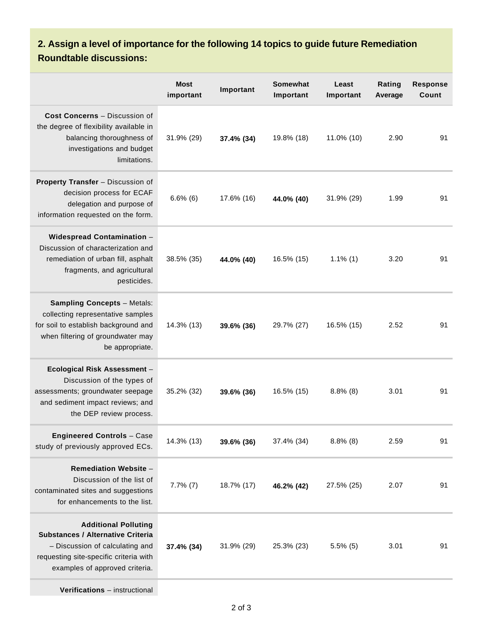## **2. Assign a level of importance for the following 14 topics to guide future Remediation Roundtable discussions:**

|                                                                                                                                                                                        | <b>Most</b><br>important | Important  | <b>Somewhat</b><br>Important | Least<br>Important | Rating<br>Average | <b>Response</b><br>Count |
|----------------------------------------------------------------------------------------------------------------------------------------------------------------------------------------|--------------------------|------------|------------------------------|--------------------|-------------------|--------------------------|
| Cost Concerns - Discussion of<br>the degree of flexibility available in<br>balancing thoroughness of<br>investigations and budget<br>limitations.                                      | 31.9% (29)               | 37.4% (34) | 19.8% (18)                   | 11.0% (10)         | 2.90              | 91                       |
| Property Transfer - Discussion of<br>decision process for ECAF<br>delegation and purpose of<br>information requested on the form.                                                      | $6.6\%$ (6)              | 17.6% (16) | 44.0% (40)                   | 31.9% (29)         | 1.99              | 91                       |
| Widespread Contamination -<br>Discussion of characterization and<br>remediation of urban fill, asphalt<br>fragments, and agricultural<br>pesticides.                                   | 38.5% (35)               | 44.0% (40) | 16.5% (15)                   | $1.1\%$ (1)        | 3.20              | 91                       |
| <b>Sampling Concepts - Metals:</b><br>collecting representative samples<br>for soil to establish background and<br>when filtering of groundwater may<br>be appropriate.                | 14.3% (13)               | 39.6% (36) | 29.7% (27)                   | 16.5% (15)         | 2.52              | 91                       |
| Ecological Risk Assessment -<br>Discussion of the types of<br>assessments; groundwater seepage<br>and sediment impact reviews; and<br>the DEP review process.                          | 35.2% (32)               | 39.6% (36) | 16.5% (15)                   | $8.8\%$ (8)        | 3.01              | 91                       |
| <b>Engineered Controls - Case</b><br>study of previously approved ECs.                                                                                                                 | 14.3% (13)               | 39.6% (36) | 37.4% (34)                   | $8.8\%$ (8)        | 2.59              | 91                       |
| <b>Remediation Website -</b><br>Discussion of the list of<br>contaminated sites and suggestions<br>for enhancements to the list.                                                       | $7.7\%$ $(7)$            | 18.7% (17) | 46.2% (42)                   | 27.5% (25)         | 2.07              | 91                       |
| <b>Additional Polluting</b><br><b>Substances / Alternative Criteria</b><br>- Discussion of calculating and<br>requesting site-specific criteria with<br>examples of approved criteria. | 37.4% (34)               | 31.9% (29) | 25.3% (23)                   | $5.5\%$ (5)        | 3.01              | 91                       |

**Verifications** – instructional